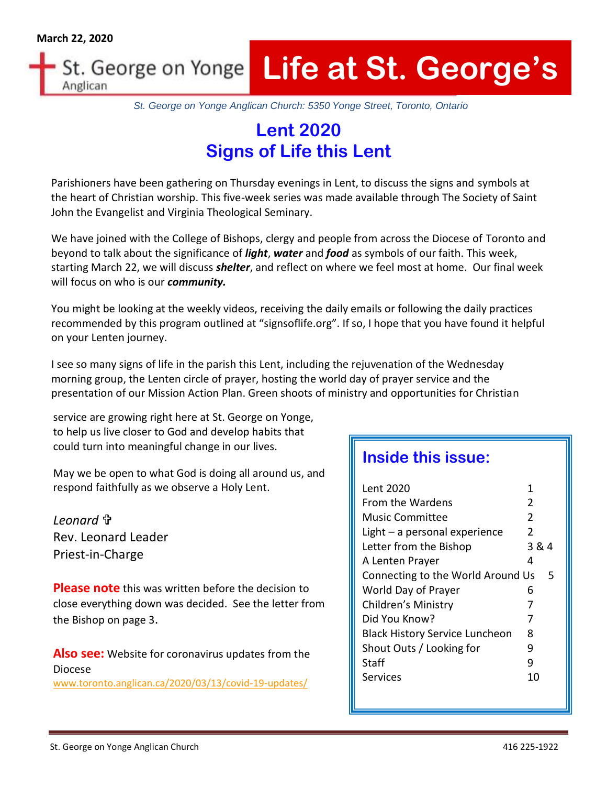#### **Life at St. George's** St. George on Yonge Anglican

*St. George on Yonge Anglican Church: 5350 Yonge Street, Toronto, Ontario*

# **Lent 2020 Signs of Life this Lent**

Parishioners have been gathering on Thursday evenings in Lent, to discuss the signs and symbols at the heart of Christian worship. This five-week series was made available through The Society of Saint John the Evangelist and Virginia Theological Seminary.

We have joined with the College of Bishops, clergy and people from across the Diocese of Toronto and beyond to talk about the significance of *light*, *water* and *food* as symbols of our faith. This week, starting March 22, we will discuss *shelter*, and reflect on where we feel most at home. Our final week will focus on who is our *community.* 

You might be looking at the weekly videos, receiving the daily emails or following the daily practices recommended by this program outlined at "signsoflife.org". If so, I hope that you have found it helpful on your Lenten journey.

I see so many signs of life in the parish this Lent, including the rejuvenation of the Wednesday morning group, the Lenten circle of prayer, hosting the world day of prayer service and the presentation of our Mission Action Plan. Green shoots of ministry and opportunities for Christian

service are growing right here at St. George on Yonge, to help us live closer to God and develop habits that could turn into meaningful change in our lives.

May we be open to what God is doing all around us, and respond faithfully as we observe a Holy Lent.

*Leonard*  Rev. Leonard Leader Priest-in-Charge

**Please note** this was written before the decision to close everything down was decided. See the letter from the Bishop on page 3.

**Also see:** Website for coronavirus updates from the Diocese [www.toronto.anglican.ca/2020/03/13/covid-19-updates/](https://nam10.safelinks.protection.outlook.com/?url=http%3A%2F%2Fwww.toronto.anglican.ca%2F2020%2F03%2F13%2Fcovid-19-updates%2F&data=02%7C01%7C%7C4f49dc35f4a342530a3c08d7cc480bf3%7C84df9e7fe9f640afb435aaaaaaaaaaaa%7C1%7C0%7C637202482109622333&sdata=eBV5I0BBbcfT2zquBY5yj4uBeeYFMsCiUq3i2fJBpvU%3D&reserved=0)

# **Inside this issue:**

| Lent 2020                             | 1     |
|---------------------------------------|-------|
| From the Wardens                      | 2     |
| Music Committee                       | 2     |
| Light $-$ a personal experience       | 2     |
| Letter from the Bishop                | 3 & 4 |
| A Lenten Prayer                       | 4     |
| Connecting to the World Around Us     | 5     |
| World Day of Prayer                   | 6     |
| Children's Ministry                   | 7     |
| Did You Know?                         | 7     |
| <b>Black History Service Luncheon</b> | 8     |
| Shout Outs / Looking for              | 9     |
| Staff                                 | ٩     |
| Services                              | 10    |
|                                       |       |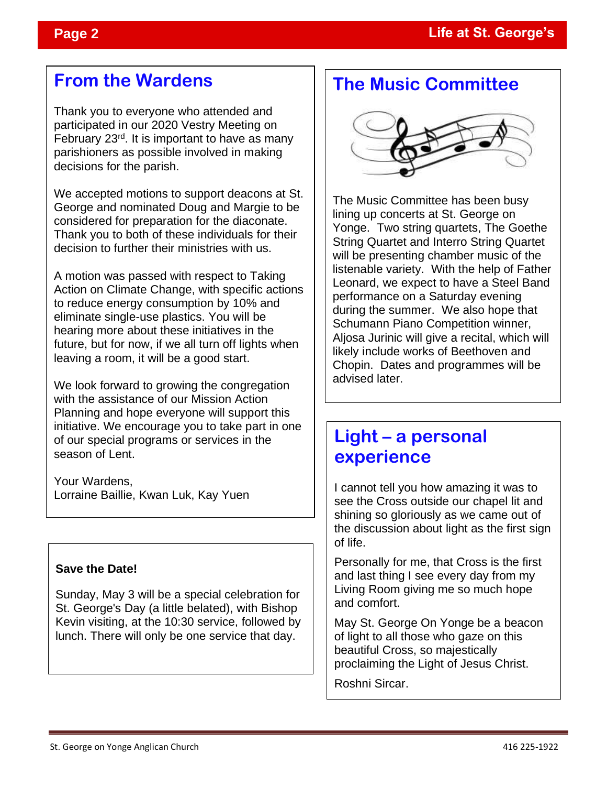# **From the Wardens**

Thank you to everyone who attended and participated in our 2020 Vestry Meeting on February 23rd. It is important to have as many parishioners as possible involved in making decisions for the parish.

We accepted motions to support deacons at St. George and nominated Doug and Margie to be considered for preparation for the diaconate. Thank you to both of these individuals for their decision to further their ministries with us.

A motion was passed with respect to Taking Action on Climate Change, with specific actions to reduce energy consumption by 10% and eliminate single-use plastics. You will be hearing more about these initiatives in the future, but for now, if we all turn off lights when leaving a room, it will be a good start.

We look forward to growing the congregation with the assistance of our Mission Action Planning and hope everyone will support this initiative. We encourage you to take part in one of our special programs or services in the season of Lent.

Your Wardens, Lorraine Baillie, Kwan Luk, Kay Yuen

#### **Save the Date!**

Sunday, May 3 will be a special celebration for St. George's Day (a little belated), with Bishop Kevin visiting, at the 10:30 service, followed by lunch. There will only be one service that day.

# **The Music Committee**



The Music Committee has been busy lining up concerts at St. George on Yonge. Two string quartets, The Goethe String Quartet and Interro String Quartet will be presenting chamber music of the listenable variety. With the help of Father Leonard, we expect to have a Steel Band performance on a Saturday evening during the summer. We also hope that Schumann Piano Competition winner, Aljosa Jurinic will give a recital, which will likely include works of Beethoven and Chopin. Dates and programmes will be advised later.

## **Light – a personal experience** L

I cannot tell you how amazing it was to see the Cross outside our chapel lit and shining so gloriously as we came out of the discussion about light as the first sign of life.

Personally for me, that Cross is the first and last thing I see every day from my Living Room giving me so much hope and comfort.

May St. George On Yonge be a beacon of light to all those who gaze on this beautiful Cross, so majestically proclaiming the Light of Jesus Christ.

Roshni Sircar.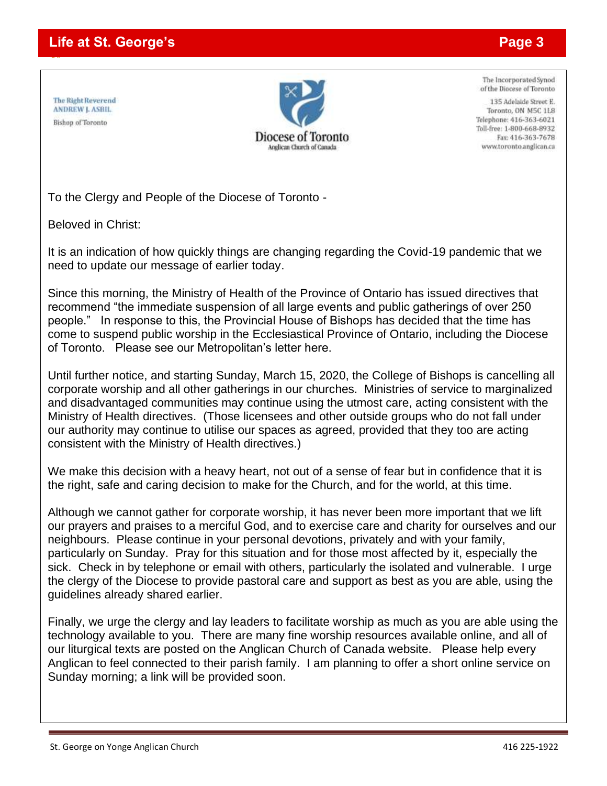#### **Life at St. George's Page 3**

The Right Reverend **ANDREW J. ASBIL** Bishop of Toronto

<u>co</u>



The Incorporated Synod of the Diocese of Toronto

135 Adelaide Street E. Toronto, ON M5C 1L8 Telephone: 416-363-6021 Toll-free: 1-800-668-8932 Fax: 416-363-7678 www.toronto.anglican.ca

To the Clergy and People of the Diocese of Toronto -

Beloved in Christ:

It is an indication of how quickly things are changing regarding the Covid-19 pandemic that we need to update our message of earlier today.

Since this morning, the Ministry of Health of the Province of Ontario has issued directives that recommend "the immediate suspension of all large events and public gatherings of over 250 people." In response to this, the Provincial House of Bishops has decided that the time has come to suspend public worship in the Ecclesiastical Province of Ontario, including the Diocese of Toronto. Please see our Metropolitan's letter here.

Until further notice, and starting Sunday, March 15, 2020, the College of Bishops is cancelling all corporate worship and all other gatherings in our churches. Ministries of service to marginalized and disadvantaged communities may continue using the utmost care, acting consistent with the Ministry of Health directives. (Those licensees and other outside groups who do not fall under our authority may continue to utilise our spaces as agreed, provided that they too are acting consistent with the Ministry of Health directives.)

We make this decision with a heavy heart, not out of a sense of fear but in confidence that it is the right, safe and caring decision to make for the Church, and for the world, at this time.

Although we cannot gather for corporate worship, it has never been more important that we lift our prayers and praises to a merciful God, and to exercise care and charity for ourselves and our neighbours. Please continue in your personal devotions, privately and with your family, particularly on Sunday. Pray for this situation and for those most affected by it, especially the sick. Check in by telephone or email with others, particularly the isolated and vulnerable. I urge the clergy of the Diocese to provide pastoral care and support as best as you are able, using the guidelines already shared earlier.

Finally, we urge the clergy and lay leaders to facilitate worship as much as you are able using the technology available to you. There are many fine worship resources available online, and all of our liturgical texts are posted on the Anglican Church of Canada website. Please help every Anglican to feel connected to their parish family. I am planning to offer a short online service on Sunday morning; a link will be provided soon.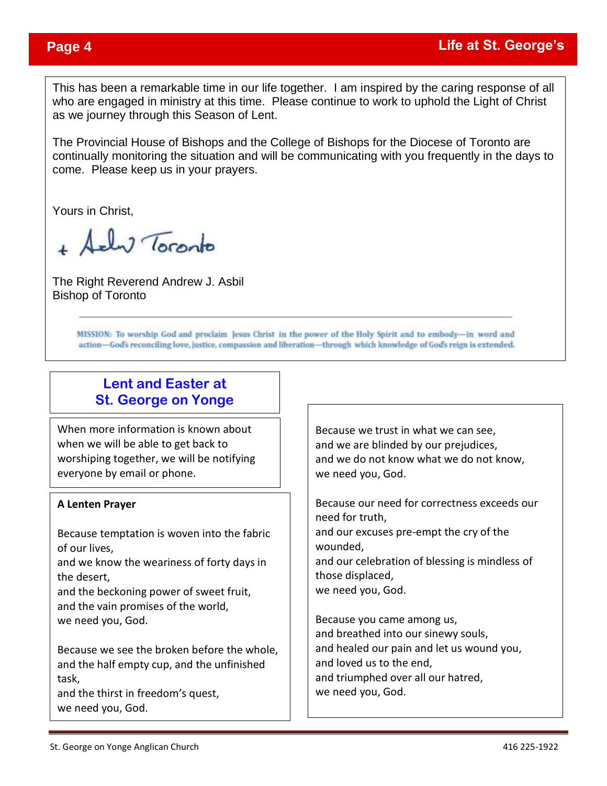This has been a remarkable time in our life together. I am inspired by the caring response of all who are engaged in ministry at this time. Please continue to work to uphold the Light of Christ as we journey through this Season of Lent.

The Provincial House of Bishops and the College of Bishops for the Diocese of Toronto are continually monitoring the situation and will be communicating with you frequently in the days to come. Please keep us in your prayers.

Yours in Christ,

ely Toronto

The Right Reverend Andrew J. Asbil Bishop of Toronto

> MISSION: To worship God and proclaim Jesus Christ in the power of the Holy Spirit and to embody-in word and action-God's reconciling love, justice, compassion and liberation-through which knowledge of God's reign is extended.

#### **Lent and Easter at St. George on Yonge**

When more information is known about when we will be able to get back to worshiping together, we will be notifying everyone by email or phone.

#### **A Lenten Prayer**

Because temptation is woven into the fabric of our lives,

and we know the weariness of forty days in the desert,

and the beckoning power of sweet fruit, and the vain promises of the world, we need you, God.

Because we see the broken before the whole, and the half empty cup, and the unfinished task,

and the thirst in freedom's quest, we need you, God.

Because we trust in what we can see, and we are blinded by our prejudices, and we do not know what we do not know, we need you, God.

Because our need for correctness exceeds our need for truth, and our excuses pre-empt the cry of the wounded, and our celebration of blessing is mindless of those displaced, we need you, God.

Because you came among us, and breathed into our sinewy souls, and healed our pain and let us wound you, and loved us to the end, and triumphed over all our hatred, we need you, God.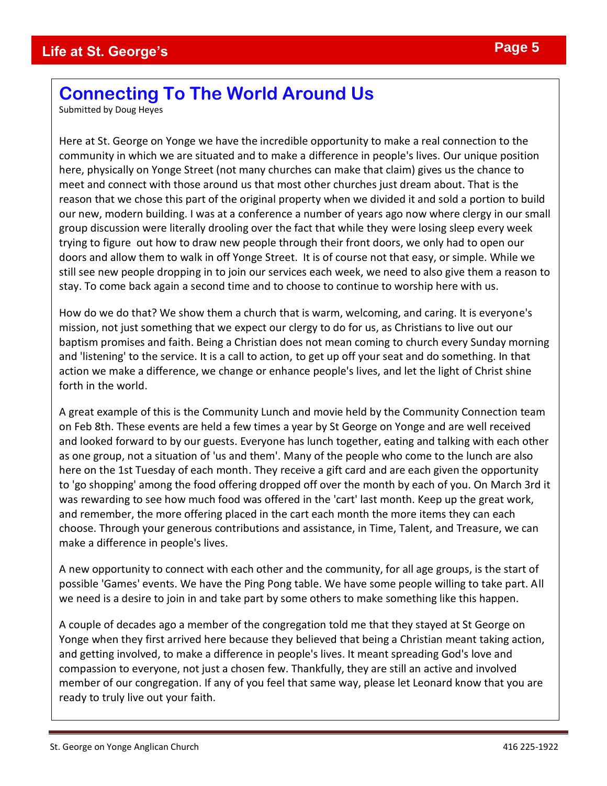# **Connecting To The World Around Us**

Submitted by Doug Heyes

Here at St. George on Yonge we have the incredible opportunity to make a real connection to the community in which we are situated and to make a difference in people's lives. Our unique position here, physically on Yonge Street (not many churches can make that claim) gives us the chance to meet and connect with those around us that most other churches just dream about. That is the reason that we chose this part of the original property when we divided it and sold a portion to build our new, modern building. I was at a conference a number of years ago now where clergy in our small group discussion were literally drooling over the fact that while they were losing sleep every week trying to figure out how to draw new people through their front doors, we only had to open our doors and allow them to walk in off Yonge Street. It is of course not that easy, or simple. While we still see new people dropping in to join our services each week, we need to also give them a reason to stay. To come back again a second time and to choose to continue to worship here with us.

How do we do that? We show them a church that is warm, welcoming, and caring. It is everyone's mission, not just something that we expect our clergy to do for us, as Christians to live out our baptism promises and faith. Being a Christian does not mean coming to church every Sunday morning and 'listening' to the service. It is a call to action, to get up off your seat and do something. In that action we make a difference, we change or enhance people's lives, and let the light of Christ shine forth in the world.

A great example of this is the Community Lunch and movie held by the Community Connection team on Feb 8th. These events are held a few times a year by St George on Yonge and are well received and looked forward to by our guests. Everyone has lunch together, eating and talking with each other as one group, not a situation of 'us and them'. Many of the people who come to the lunch are also here on the 1st Tuesday of each month. They receive a gift card and are each given the opportunity to 'go shopping' among the food offering dropped off over the month by each of you. On March 3rd it was rewarding to see how much food was offered in the 'cart' last month. Keep up the great work, and remember, the more offering placed in the cart each month the more items they can each choose. Through your generous contributions and assistance, in Time, Talent, and Treasure, we can make a difference in people's lives.

A new opportunity to connect with each other and the community, for all age groups, is the start of possible 'Games' events. We have the Ping Pong table. We have some people willing to take part. All we need is a desire to join in and take part by some others to make something like this happen.

A couple of decades ago a member of the congregation told me that they stayed at St George on Yonge when they first arrived here because they believed that being a Christian meant taking action, and getting involved, to make a difference in people's lives. It meant spreading God's love and compassion to everyone, not just a chosen few. Thankfully, they are still an active and involved member of our congregation. If any of you feel that same way, please let Leonard know that you are ready to truly live out your faith.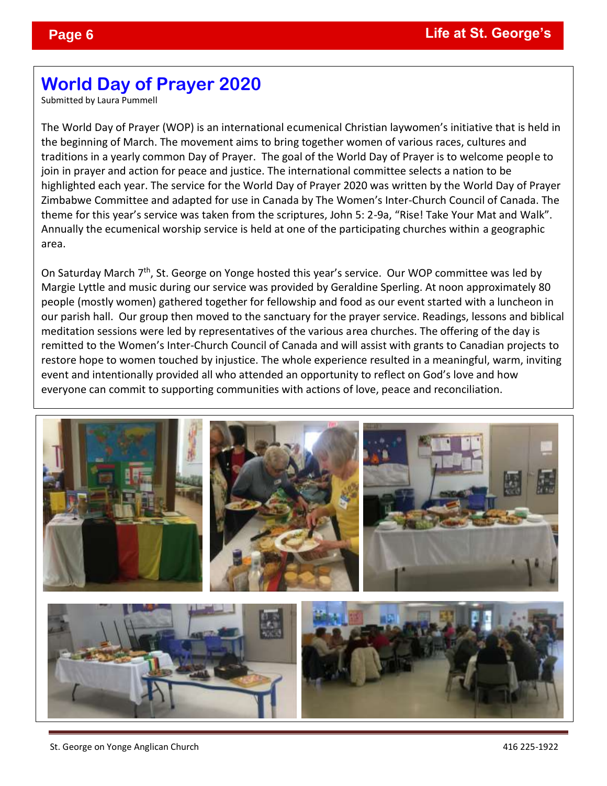# **World Day of Prayer 2020**

Submitted by Laura Pummell

The World Day of Prayer (WOP) is an international ecumenical Christian laywomen's initiative that is held in the beginning of March. The movement aims to bring together women of various races, cultures and traditions in a yearly common Day of Prayer. The goal of the World Day of Prayer is to welcome people to join in prayer and action for peace and justice. The international committee selects a nation to be highlighted each year. The service for the World Day of Prayer 2020 was written by the World Day of Prayer Zimbabwe Committee and adapted for use in Canada by The Women's Inter-Church Council of Canada. The theme for this year's service was taken from the scriptures, John 5: 2-9a, "Rise! Take Your Mat and Walk". Annually the ecumenical worship service is held at one of the participating churches within a geographic area.

On Saturday March 7<sup>th</sup>, St. George on Yonge hosted this year's service. Our WOP committee was led by Margie Lyttle and music during our service was provided by Geraldine Sperling. At noon approximately 80 people (mostly women) gathered together for fellowship and food as our event started with a luncheon in our parish hall. Our group then moved to the sanctuary for the prayer service. Readings, lessons and biblical meditation sessions were led by representatives of the various area churches. The offering of the day is remitted to the Women's Inter-Church Council of Canada and will assist with grants to Canadian projects to restore hope to women touched by injustice. The whole experience resulted in a meaningful, warm, inviting event and intentionally provided all who attended an opportunity to reflect on God's love and how everyone can commit to supporting communities with actions of love, peace and reconciliation.

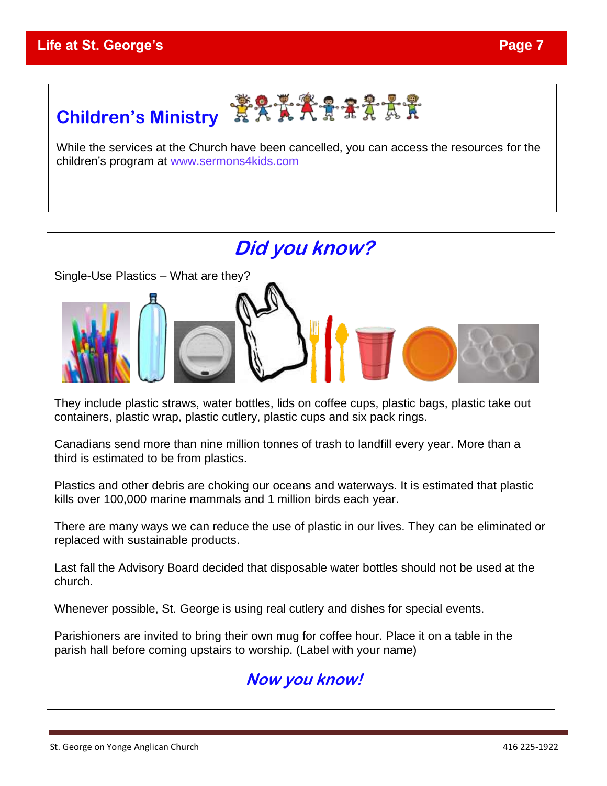# **Children's Ministry EXAAAAAA**

While the services at the Church have been cancelled, you can access the resources for the children's program at [www.sermons4kids.com](http://www.sermons4kids.com/)



They include plastic straws, water bottles, lids on coffee cups, plastic bags, plastic take out containers, plastic wrap, plastic cutlery, plastic cups and six pack rings.

Canadians send more than nine million tonnes of trash to landfill every year. More than a third is estimated to be from plastics.

Plastics and other debris are choking our oceans and waterways. It is estimated that plastic kills over 100,000 marine mammals and 1 million birds each year.

There are many ways we can reduce the use of plastic in our lives. They can be eliminated or replaced with sustainable products.

Last fall the Advisory Board decided that disposable water bottles should not be used at the church.

Whenever possible, St. George is using real cutlery and dishes for special events.

Parishioners are invited to bring their own mug for coffee hour. Place it on a table in the parish hall before coming upstairs to worship. (Label with your name)

# **Now you know!**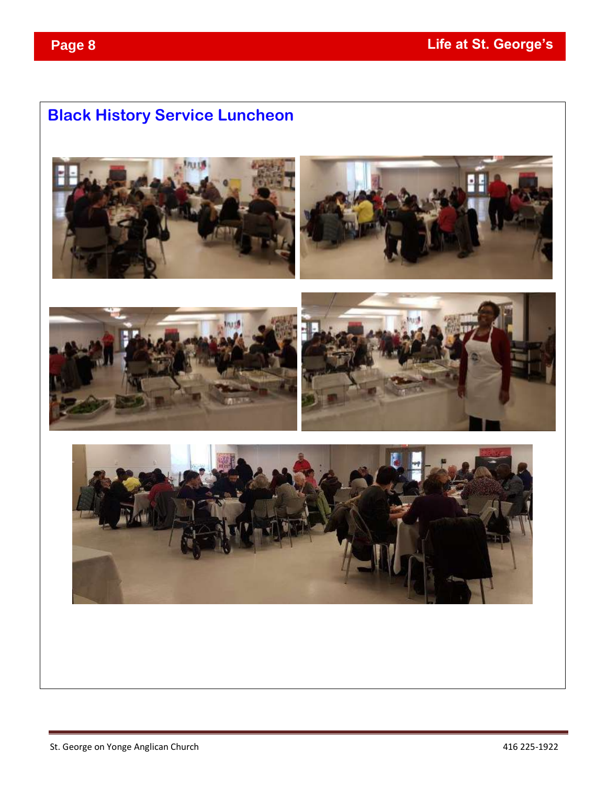# **Black History Service Luncheon**









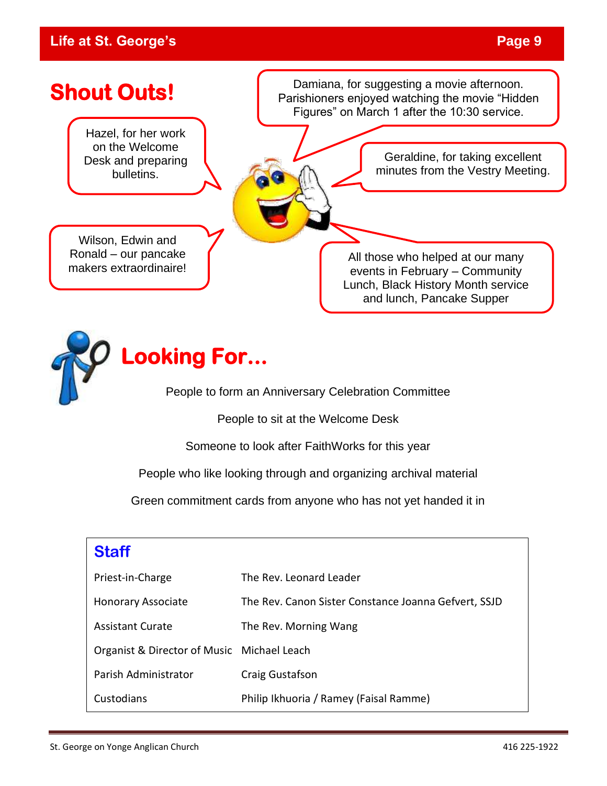### **Life at St. George's Page 9**





People to form an Anniversary Celebration Committee

People to sit at the Welcome Desk

Someone to look after FaithWorks for this year

People who like looking through and organizing archival material

Green commitment cards from anyone who has not yet handed it in

## **Staff**

| Priest-in-Charge                           | The Rev. Leonard Leader                              |
|--------------------------------------------|------------------------------------------------------|
| <b>Honorary Associate</b>                  | The Rev. Canon Sister Constance Joanna Gefvert, SSJD |
| <b>Assistant Curate</b>                    | The Rev. Morning Wang                                |
| Organist & Director of Music Michael Leach |                                                      |
| Parish Administrator                       | Craig Gustafson                                      |
| Custodians                                 | Philip Ikhuoria / Ramey (Faisal Ramme)               |